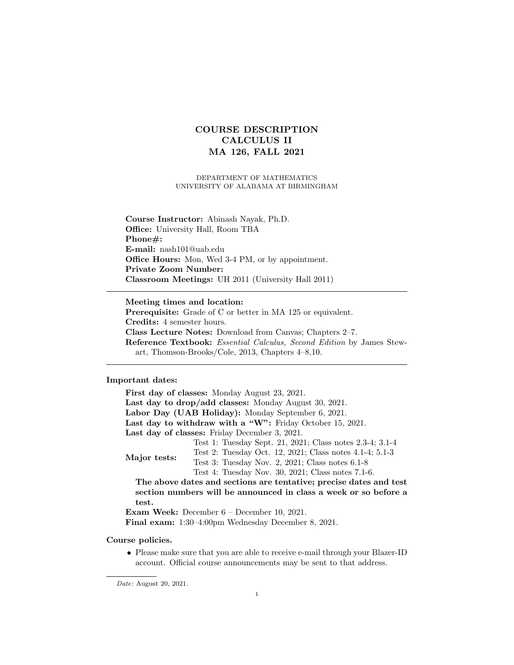# COURSE DESCRIPTION CALCULUS II MA 126, FALL 2021

DEPARTMENT OF MATHEMATICS UNIVERSITY OF ALABAMA AT BIRMINGHAM

Course Instructor: Abinash Nayak, Ph.D. Office: University Hall, Room TBA Phone#: E-mail: nash101@uab.edu Office Hours: Mon, Wed 3-4 PM, or by appointment. Private Zoom Number: Classroom Meetings: UH 2011 (University Hall 2011)

Meeting times and location: Prerequisite: Grade of C or better in MA 125 or equivalent. Credits: 4 semester hours. Class Lecture Notes: Download from Canvas; Chapters 2–7. Reference Textbook: Essential Calculus, Second Edition by James Stewart, Thomson-Brooks/Cole, 2013, Chapters 4–8,10.

## Important dates:

First day of classes: Monday August 23, 2021. Last day to drop/add classes: Monday August 30, 2021. Labor Day (UAB Holiday): Monday September 6, 2021. Last day to withdraw with a "W": Friday October 15, 2021. Last day of classes: Friday December 3, 2021. Major tests: Test 1: Tuesday Sept. 21, 2021; Class notes 2.3-4; 3.1-4 Test 2: Tuesday Oct. 12, 2021; Class notes 4.1-4; 5.1-3 Test 3: Tuesday Nov. 2, 2021; Class notes 6.1-8 Test 4: Tuesday Nov. 30, 2021; Class notes 7.1-6. The above dates and sections are tentative; precise dates and test section numbers will be announced in class a week or so before a test. Exam Week: December 6 – December 10, 2021. Final exam: 1:30–4:00pm Wednesday December 8, 2021.

Course policies.

• Please make sure that you are able to receive e-mail through your Blazer-ID account. Official course announcements may be sent to that address.

Date: August 20, 2021.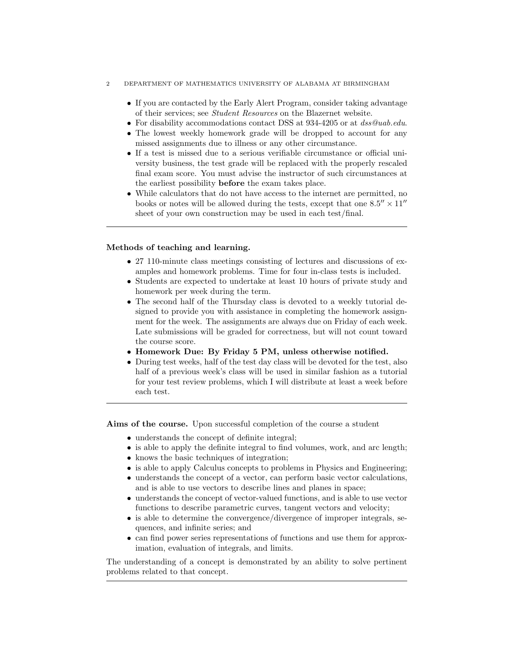#### 2 DEPARTMENT OF MATHEMATICS UNIVERSITY OF ALABAMA AT BIRMINGHAM

- If you are contacted by the Early Alert Program, consider taking advantage of their services; see Student Resources on the Blazernet website.
- For disability accommodations contact DSS at 934-4205 or at  $dss@uab.edu$ .
- The lowest weekly homework grade will be dropped to account for any missed assignments due to illness or any other circumstance.
- If a test is missed due to a serious verifiable circumstance or official university business, the test grade will be replaced with the properly rescaled final exam score. You must advise the instructor of such circumstances at the earliest possibility before the exam takes place.
- While calculators that do not have access to the internet are permitted, no books or notes will be allowed during the tests, except that one  $8.5'' \times 11''$ sheet of your own construction may be used in each test/final.

### Methods of teaching and learning.

- 27 110-minute class meetings consisting of lectures and discussions of examples and homework problems. Time for four in-class tests is included.
- Students are expected to undertake at least 10 hours of private study and homework per week during the term.
- The second half of the Thursday class is devoted to a weekly tutorial designed to provide you with assistance in completing the homework assignment for the week. The assignments are always due on Friday of each week. Late submissions will be graded for correctness, but will not count toward the course score.
- Homework Due: By Friday 5 PM, unless otherwise notified.
- During test weeks, half of the test day class will be devoted for the test, also half of a previous week's class will be used in similar fashion as a tutorial for your test review problems, which I will distribute at least a week before each test.

Aims of the course. Upon successful completion of the course a student

- understands the concept of definite integral;
- is able to apply the definite integral to find volumes, work, and arc length;
- knows the basic techniques of integration;
- is able to apply Calculus concepts to problems in Physics and Engineering;
- understands the concept of a vector, can perform basic vector calculations, and is able to use vectors to describe lines and planes in space;
- understands the concept of vector-valued functions, and is able to use vector functions to describe parametric curves, tangent vectors and velocity;
- is able to determine the convergence/divergence of improper integrals, sequences, and infinite series; and
- can find power series representations of functions and use them for approximation, evaluation of integrals, and limits.

The understanding of a concept is demonstrated by an ability to solve pertinent problems related to that concept.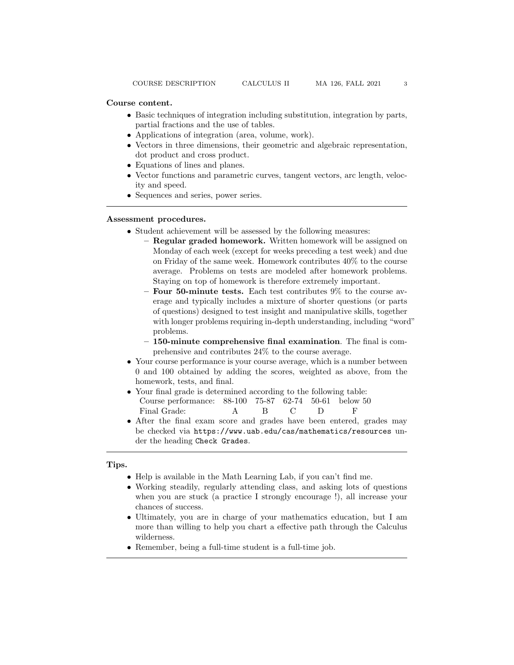- Basic techniques of integration including substitution, integration by parts, partial fractions and the use of tables.
- Applications of integration (area, volume, work).
- Vectors in three dimensions, their geometric and algebraic representation, dot product and cross product.
- Equations of lines and planes.
- Vector functions and parametric curves, tangent vectors, arc length, velocity and speed.
- Sequences and series, power series.

#### Assessment procedures.

- Student achievement will be assessed by the following measures:
	- Regular graded homework. Written homework will be assigned on Monday of each week (except for weeks preceding a test week) and due on Friday of the same week. Homework contributes 40% to the course average. Problems on tests are modeled after homework problems. Staying on top of homework is therefore extremely important.
	- $-$  Four 50-minute tests. Each test contributes  $9\%$  to the course average and typically includes a mixture of shorter questions (or parts of questions) designed to test insight and manipulative skills, together with longer problems requiring in-depth understanding, including "word" problems.
	- 150-minute comprehensive final examination. The final is comprehensive and contributes 24% to the course average.
- Your course performance is your course average, which is a number between 0 and 100 obtained by adding the scores, weighted as above, from the homework, tests, and final.
- Your final grade is determined according to the following table: Course performance: 88-100 75-87 62-74 50-61 below 50 Final Grade: A B C D F
- After the final exam score and grades have been entered, grades may be checked via https://www.uab.edu/cas/mathematics/resources under the heading Check Grades.

## Tips.

- Help is available in the Math Learning Lab, if you can't find me.
- Working steadily, regularly attending class, and asking lots of questions when you are stuck (a practice I strongly encourage !), all increase your chances of success.
- Ultimately, you are in charge of your mathematics education, but I am more than willing to help you chart a effective path through the Calculus wilderness.
- Remember, being a full-time student is a full-time job.